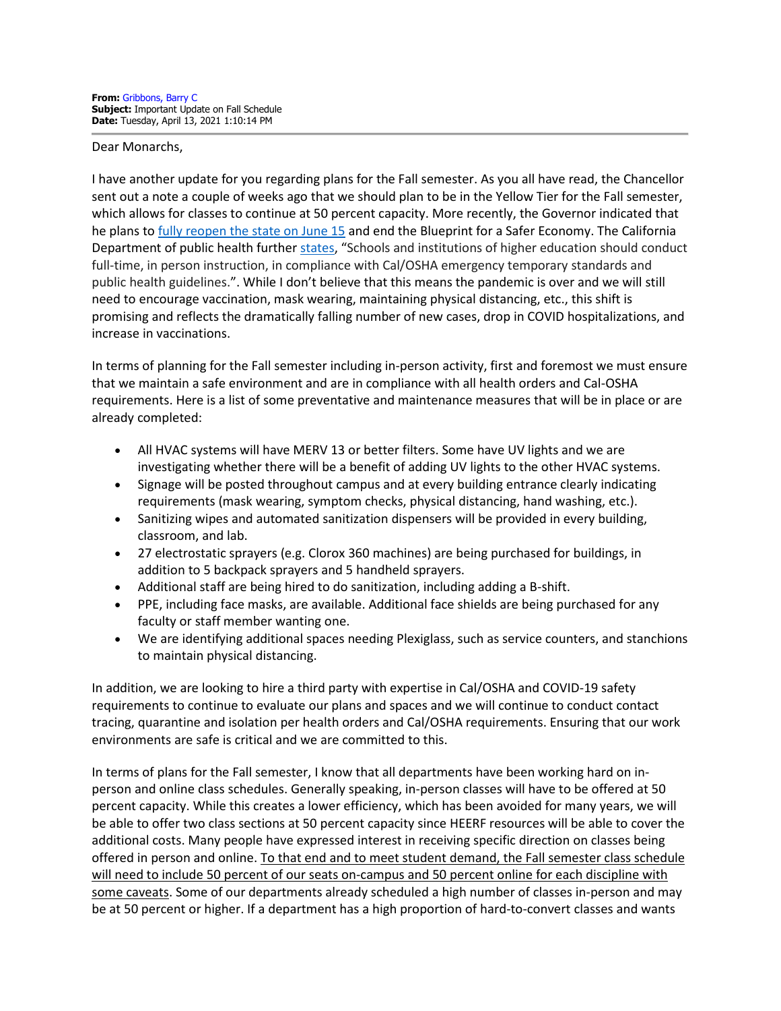## Dear Monarchs,

I have another update for you regarding plans for the Fall semester. As you all have read, the Chancellor sent out a note a couple of weeks ago that we should plan to be in the Yellow Tier for the Fall semester, which allows for classes to continue at 50 percent capacity. More recently, the Governor indicated that he plans to [fully reopen the state on June 15](https://www.gov.ca.gov/2021/04/06/governor-newsom-outlines-the-states-next-step-in-the-covid-19-pandemic-recovery-moving-beyond-the-blueprint/#:%7E:text=On%20June%2015%2C%20California%20will,rates%20are%20stable%20and%20low) and end the Blueprint for a Safer Economy. The California Department of public health furthe[r states,](https://www.cdph.ca.gov/Programs/CID/DCDC/Pages/COVID-19/beyond_memo.aspx) "Schools and institutions of higher education should conduct full-time, in person instruction, in compliance with Cal/OSHA emergency temporary standards and public health guidelines.". While I don't believe that this means the pandemic is over and we will still need to encourage vaccination, mask wearing, maintaining physical distancing, etc., this shift is promising and reflects the dramatically falling number of new cases, drop in COVID hospitalizations, and increase in vaccinations.

In terms of planning for the Fall semester including in-person activity, first and foremost we must ensure that we maintain a safe environment and are in compliance with all health orders and Cal-OSHA requirements. Here is a list of some preventative and maintenance measures that will be in place or are already completed:

- All HVAC systems will have MERV 13 or better filters. Some have UV lights and we are investigating whether there will be a benefit of adding UV lights to the other HVAC systems.
- Signage will be posted throughout campus and at every building entrance clearly indicating requirements (mask wearing, symptom checks, physical distancing, hand washing, etc.).
- Sanitizing wipes and automated sanitization dispensers will be provided in every building, classroom, and lab.
- 27 electrostatic sprayers (e.g. Clorox 360 machines) are being purchased for buildings, in addition to 5 backpack sprayers and 5 handheld sprayers.
- Additional staff are being hired to do sanitization, including adding a B-shift.
- PPE, including face masks, are available. Additional face shields are being purchased for any faculty or staff member wanting one.
- We are identifying additional spaces needing Plexiglass, such as service counters, and stanchions to maintain physical distancing.

In addition, we are looking to hire a third party with expertise in Cal/OSHA and COVID-19 safety requirements to continue to evaluate our plans and spaces and we will continue to conduct contact tracing, quarantine and isolation per health orders and Cal/OSHA requirements. Ensuring that our work environments are safe is critical and we are committed to this.

In terms of plans for the Fall semester, I know that all departments have been working hard on inperson and online class schedules. Generally speaking, in-person classes will have to be offered at 50 percent capacity. While this creates a lower efficiency, which has been avoided for many years, we will be able to offer two class sections at 50 percent capacity since HEERF resources will be able to cover the additional costs. Many people have expressed interest in receiving specific direction on classes being offered in person and online. To that end and to meet student demand, the Fall semester class schedule will need to include 50 percent of our seats on-campus and 50 percent online for each discipline with some caveats. Some of our departments already scheduled a high number of classes in-person and may be at 50 percent or higher. If a department has a high proportion of hard-to-convert classes and wants